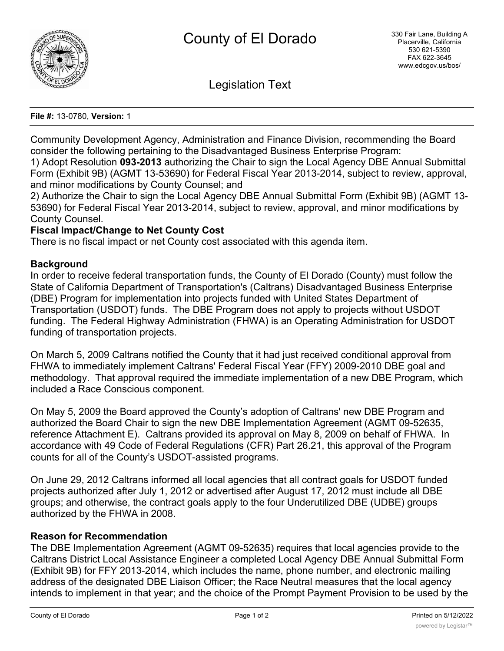

Legislation Text

### **File #:** 13-0780, **Version:** 1

Community Development Agency, Administration and Finance Division, recommending the Board consider the following pertaining to the Disadvantaged Business Enterprise Program:

1) Adopt Resolution **093-2013** authorizing the Chair to sign the Local Agency DBE Annual Submittal Form (Exhibit 9B) (AGMT 13-53690) for Federal Fiscal Year 2013-2014, subject to review, approval, and minor modifications by County Counsel; and

2) Authorize the Chair to sign the Local Agency DBE Annual Submittal Form (Exhibit 9B) (AGMT 13- 53690) for Federal Fiscal Year 2013-2014, subject to review, approval, and minor modifications by County Counsel.

## **Fiscal Impact/Change to Net County Cost**

There is no fiscal impact or net County cost associated with this agenda item.

## **Background**

In order to receive federal transportation funds, the County of El Dorado (County) must follow the State of California Department of Transportation's (Caltrans) Disadvantaged Business Enterprise (DBE) Program for implementation into projects funded with United States Department of Transportation (USDOT) funds. The DBE Program does not apply to projects without USDOT funding. The Federal Highway Administration (FHWA) is an Operating Administration for USDOT funding of transportation projects.

On March 5, 2009 Caltrans notified the County that it had just received conditional approval from FHWA to immediately implement Caltrans' Federal Fiscal Year (FFY) 2009-2010 DBE goal and methodology. That approval required the immediate implementation of a new DBE Program, which included a Race Conscious component.

On May 5, 2009 the Board approved the County's adoption of Caltrans' new DBE Program and authorized the Board Chair to sign the new DBE Implementation Agreement (AGMT 09-52635, reference Attachment E). Caltrans provided its approval on May 8, 2009 on behalf of FHWA. In accordance with 49 Code of Federal Regulations (CFR) Part 26.21, this approval of the Program counts for all of the County's USDOT-assisted programs.

On June 29, 2012 Caltrans informed all local agencies that all contract goals for USDOT funded projects authorized after July 1, 2012 or advertised after August 17, 2012 must include all DBE groups; and otherwise, the contract goals apply to the four Underutilized DBE (UDBE) groups authorized by the FHWA in 2008.

## **Reason for Recommendation**

The DBE Implementation Agreement (AGMT 09-52635) requires that local agencies provide to the Caltrans District Local Assistance Engineer a completed Local Agency DBE Annual Submittal Form (Exhibit 9B) for FFY 2013-2014, which includes the name, phone number, and electronic mailing address of the designated DBE Liaison Officer; the Race Neutral measures that the local agency intends to implement in that year; and the choice of the Prompt Payment Provision to be used by the